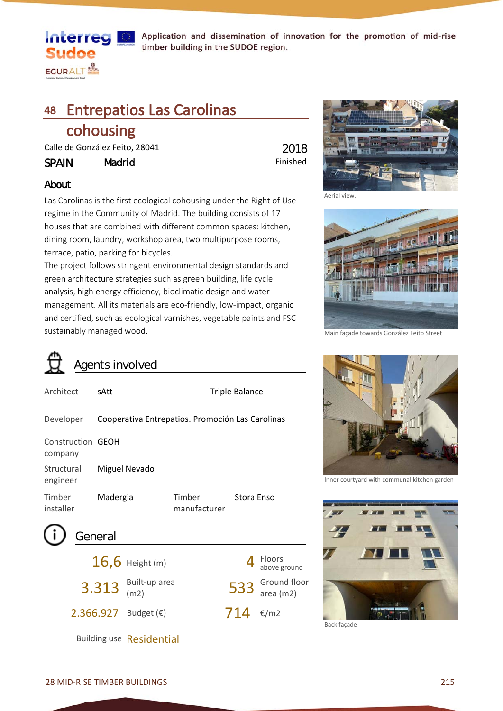

Application and dissemination of innovation for the promotion of mid-rise timber building in the SUDOE region.

## 48 Entrepatios Las Carolinas

## cohousing

Calle de González Feito. 28041

SPAIN Madrid

Finished 2018

### About

Las Carolinas is the first ecological cohousing under the Right of Use regime in the Community of Madrid. The building consists of 17 houses that are combined with different common spaces: kitchen, dining room, laundry, workshop area, two multipurpose rooms, terrace, patio, parking for bicycles.

The project follows stringent environmental design standards and green architecture strategies such as green building, life cycle analysis, high energy efficiency, bioclimatic design and water management. All its materials are eco-friendly, low-impact, organic and certified, such as ecological varnishes, vegetable paints and FSC sustainably managed wood.

Triple Balance



48.1.jpg

Main façade towards González Feito Street



Inner courtyard with communal kitchen garden



Back façade

Ground floor<br>area (m2)

714 €/m2

above ground

# Agents involved Architect sAtt

| Developer                    | Cooperativa Entrepatios. Promoción Las Carolinas |                        |            |
|------------------------------|--------------------------------------------------|------------------------|------------|
| Construction GEOH<br>company |                                                  |                        |            |
| Structural<br>engineer       | Miguel Nevado                                    |                        |            |
| Timber<br>installer          | Madergia                                         | Timber<br>manufacturer | Stora Enso |
|                              |                                                  |                        |            |

| (i) General |                       |                            |                            |
|-------------|-----------------------|----------------------------|----------------------------|
|             | $16,6$ Height (m)     |                            | $\frac{4}{\text{above g}}$ |
|             | $3.313$ Built-up area | 533 $rac{Groun}{area (r)}$ |                            |

2.366.927 Budget (€)

Building use Residential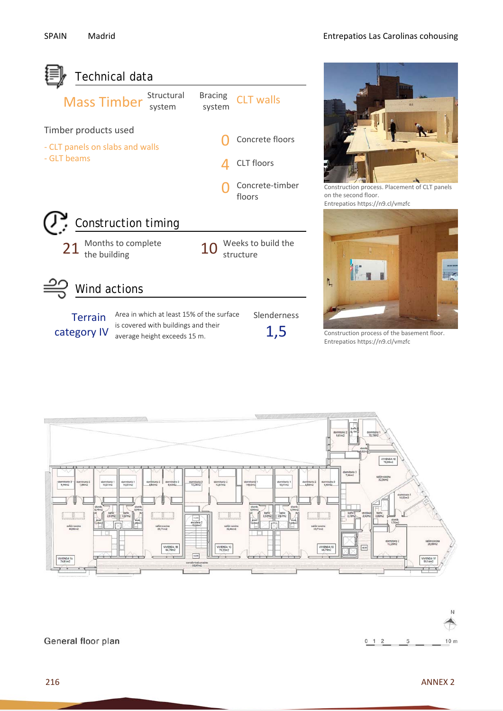

average height exceeds 15 m.

Construction process of the basement floor. Entrepatios https://n9.cl/vmzfc





General floor plan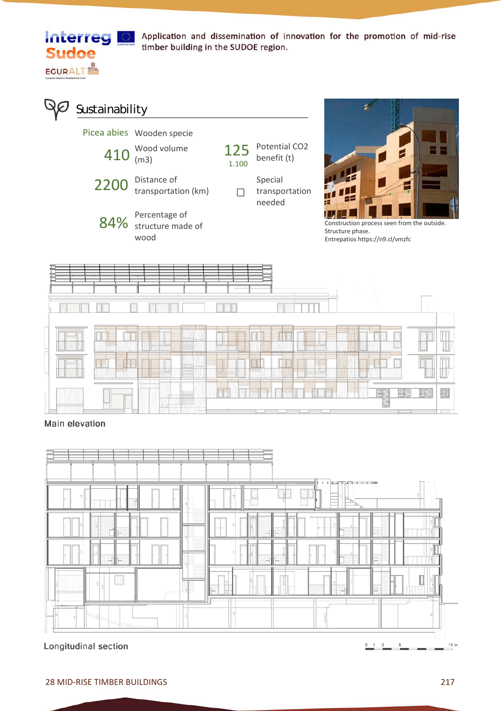

**Interreg & Application and dissemination of innovation for the promotion of mid-rise** timber building in the SUDOE region.

**S**ustainability Picea abies Wooden specie

|      | . <b>.</b><br>$410^{$ Wood volume  |
|------|------------------------------------|
| 2200 | Distance of<br>transportation (km) |





Special transportation  $\Box$ needed



Construction process seen from the outside. Structure phase. Entrepatios https://n9.cl/vmzfc



Main elevation



Longitudinal section

 $10 m$